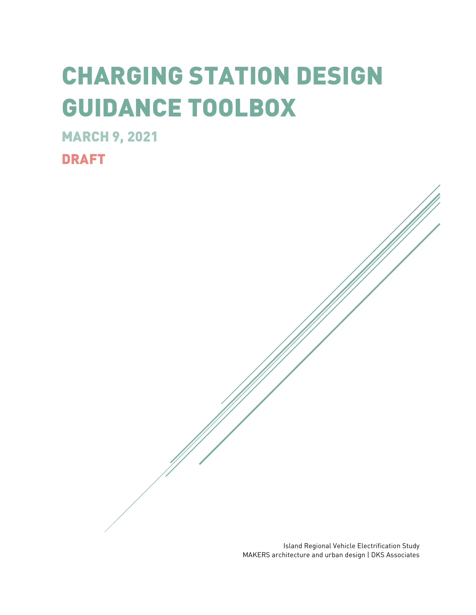# CHARGING STATION DESIGN GUIDANCE TOOLBOX

MARCH 9, 2021

DRAFT

Island Regional Vehicle Electrification Study MAKERS architecture and urban design | DKS Associates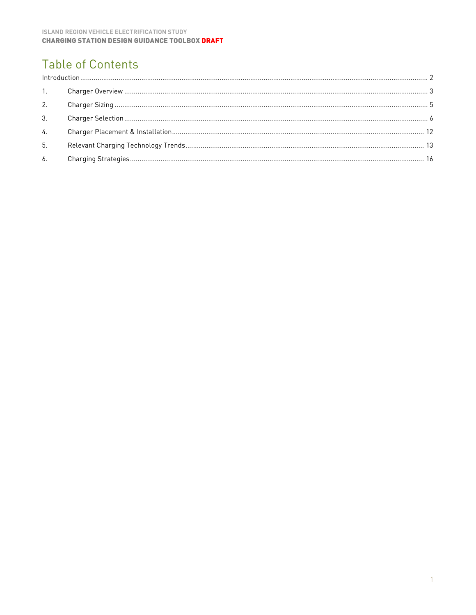# **Table of Contents**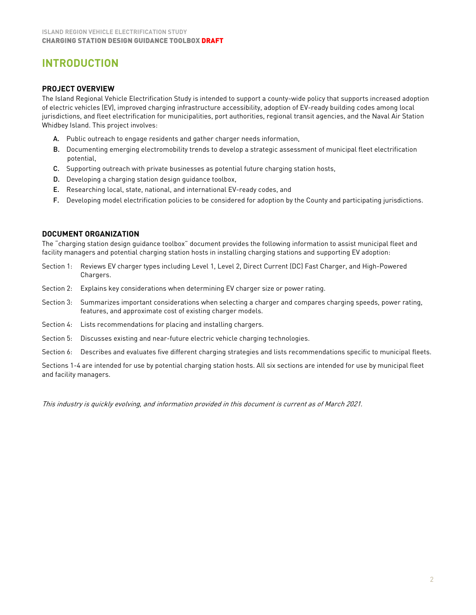# <span id="page-2-0"></span>**INTRODUCTION**

#### **PROJECT OVERVIEW**

The Island Regional Vehicle Electrification Study is intended to support a county-wide policy that supports increased adoption of electric vehicles (EV), improved charging infrastructure accessibility, adoption of EV-ready building codes among local jurisdictions, and fleet electrification for municipalities, port authorities, regional transit agencies, and the Naval Air Station Whidbey Island. This project involves:

- A. Public outreach to engage residents and gather charger needs information,
- B. Documenting emerging electromobility trends to develop a strategic assessment of municipal fleet electrification potential,
- C. Supporting outreach with private businesses as potential future charging station hosts,
- D. Developing a charging station design guidance toolbox,
- E. Researching local, state, national, and international EV-ready codes, and
- F. Developing model electrification policies to be considered for adoption by the County and participating jurisdictions.

#### **DOCUMENT ORGANIZATION**

The "charging station design guidance toolbox" document provides the following information to assist municipal fleet and facility managers and potential charging station hosts in installing charging stations and supporting EV adoption:

- Section 1: Reviews EV charger types including Level 1, Level 2, Direct Current (DC) Fast Charger, and High-Powered Chargers.
- Section 2: Explains key considerations when determining EV charger size or power rating.
- Section 3: Summarizes important considerations when selecting a charger and compares charging speeds, power rating, features, and approximate cost of existing charger models.
- Section 4: Lists recommendations for placing and installing chargers.
- Section 5: Discusses existing and near-future electric vehicle charging technologies.
- Section 6: Describes and evaluates five different charging strategies and lists recommendations specific to municipal fleets.

Sections 1-4 are intended for use by potential charging station hosts. All six sections are intended for use by municipal fleet and facility managers.

This industry is quickly evolving, and information provided in this document is current as of March 2021.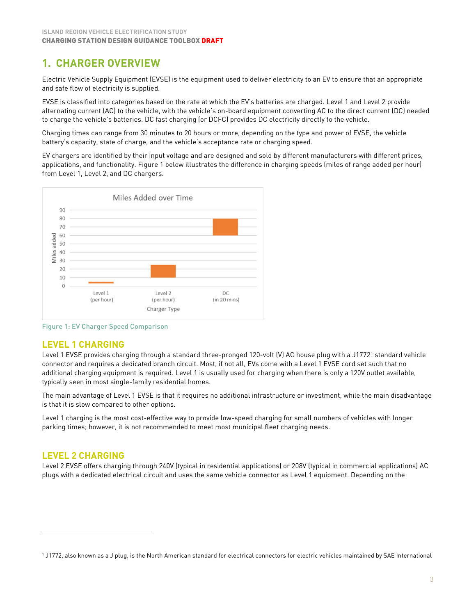# <span id="page-3-0"></span>**1. CHARGER OVERVIEW**

Electric Vehicle Supply Equipment (EVSE) is the equipment used to deliver electricity to an EV to ensure that an appropriate and safe flow of electricity is supplied.

EVSE is classified into categories based on the rate at which the EV's batteries are charged. Level 1 and Level 2 provide alternating current (AC) to the vehicle, with the vehicle's on-board equipment converting AC to the direct current (DC) needed to charge the vehicle's batteries. DC fast charging (or DCFC) provides DC electricity directly to the vehicle.

Charging times can range from 30 minutes to 20 hours or more, depending on the type and power of EVSE, the vehicle battery's capacity, state of charge, and the vehicle's acceptance rate or charging speed.

EV chargers are identified by their input voltage and are designed and sold by different manufacturers with different prices, applications, and functionality. Figure 1 below illustrates the difference in charging speeds (miles of range added per hour) from Level 1, Level 2, and DC chargers.



Figure 1: EV Charger Speed Comparison

# **LEVEL 1 CHARGING**

Level [1](#page-3-1) EVSE provides charging through a standard three-pronged 120-volt (V) AC house plug with a J1772<sup>1</sup> standard vehicle connector and requires a dedicated branch circuit. Most, if not all, EVs come with a Level 1 EVSE cord set such that no additional charging equipment is required. Level 1 is usually used for charging when there is only a 120V outlet available, typically seen in most single-family residential homes.

The main advantage of Level 1 EVSE is that it requires no additional infrastructure or investment, while the main disadvantage is that it is slow compared to other options.

Level 1 charging is the most cost-effective way to provide low-speed charging for small numbers of vehicles with longer parking times; however, it is not recommended to meet most municipal fleet charging needs.

# **LEVEL 2 CHARGING**

Level 2 EVSE offers charging through 240V (typical in residential applications) or 208V (typical in commercial applications) AC plugs with a dedicated electrical circuit and uses the same vehicle connector as Level 1 equipment. Depending on the

<span id="page-3-1"></span><sup>&</sup>lt;sup>1</sup> J1772, also known as a J plug, is the North American standard for electrical connectors for electric vehicles maintained by SAE International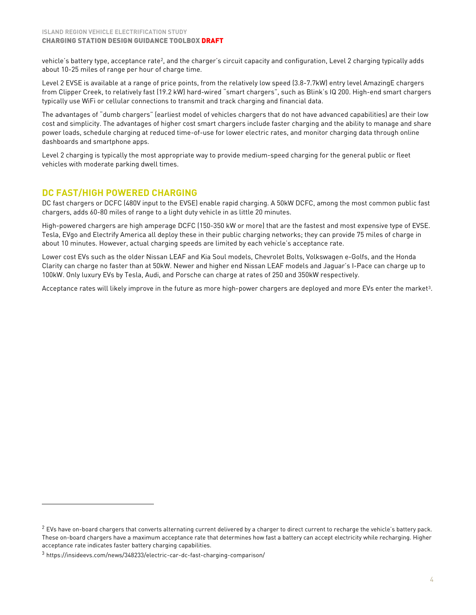vehicle's battery type, acceptance rate<sup>2</sup>, and the charger's circuit capacity and configuration, Level 2 charging typically adds about 10-25 miles of range per hour of charge time.

Level 2 EVSE is available at a range of price points, from the relatively low speed (3.8-7.7kW) entry level AmazingE chargers from Clipper Creek, to relatively fast (19.2 kW) hard-wired "smart chargers", such as Blink's IQ 200. High-end smart chargers typically use WiFi or cellular connections to transmit and track charging and financial data.

The advantages of "dumb chargers" (earliest model of vehicles chargers that do not have advanced capabilities) are their low cost and simplicity. The advantages of higher cost smart chargers include faster charging and the ability to manage and share power loads, schedule charging at reduced time-of-use for lower electric rates, and monitor charging data through online dashboards and smartphone apps.

Level 2 charging is typically the most appropriate way to provide medium-speed charging for the general public or fleet vehicles with moderate parking dwell times.

# **DC FAST/HIGH POWERED CHARGING**

DC fast chargers or DCFC (480V input to the EVSE) enable rapid charging. A 50kW DCFC, among the most common public fast chargers, adds 60-80 miles of range to a light duty vehicle in as little 20 minutes.

High-powered chargers are high amperage DCFC (150-350 kW or more) that are the fastest and most expensive type of EVSE. Tesla, EVgo and Electrify America all deploy these in their public charging networks; they can provide 75 miles of charge in about 10 minutes. However, actual charging speeds are limited by each vehicle's acceptance rate.

Lower cost EVs such as the older Nissan LEAF and Kia Soul models, Chevrolet Bolts, Volkswagen e-Golfs, and the Honda Clarity can charge no faster than at 50kW. Newer and higher end Nissan LEAF models and Jaguar's I-Pace can charge up to 100kW. Only luxury EVs by Tesla, Audi, and Porsche can charge at rates of 250 and 350kW respectively.

Acceptance rates will likely improve in the future as more high-power chargers are deployed and more EVs enter the market[3](#page-4-1).

<span id="page-4-0"></span> $<sup>2</sup>$  EVs have on-board chargers that converts alternating current delivered by a charger to direct current to recharge the vehicle's battery pack.</sup> These on-board chargers have a maximum acceptance rate that determines how fast a battery can accept electricity while recharging. Higher acceptance rate indicates faster battery charging capabilities.

<span id="page-4-1"></span><sup>3</sup> https://insideevs.com/news/348233/electric-car-dc-fast-charging-comparison/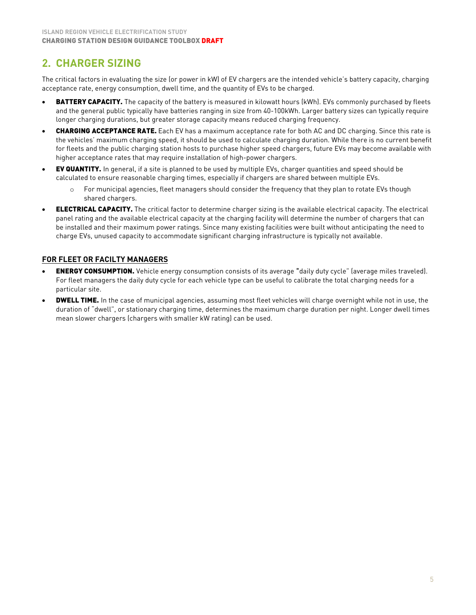# <span id="page-5-0"></span>**2. CHARGER SIZING**

The critical factors in evaluating the size (or power in kW) of EV chargers are the intended vehicle's battery capacity, charging acceptance rate, energy consumption, dwell time, and the quantity of EVs to be charged.

- **BATTERY CAPACITY.** The capacity of the battery is measured in kilowatt hours (kWh). EVs commonly purchased by fleets and the general public typically have batteries ranging in size from 40-100kWh. Larger battery sizes can typically require longer charging durations, but greater storage capacity means reduced charging frequency.
- **CHARGING ACCEPTANCE RATE.** Each EV has a maximum acceptance rate for both AC and DC charging. Since this rate is the vehicles' maximum charging speed, it should be used to calculate charging duration. While there is no current benefit for fleets and the public charging station hosts to purchase higher speed chargers, future EVs may become available with higher acceptance rates that may require installation of high-power chargers.
- EV QUANTITY. In general, if a site is planned to be used by multiple EVs, charger quantities and speed should be calculated to ensure reasonable charging times, especially if chargers are shared between multiple EVs.
	- o For municipal agencies, fleet managers should consider the frequency that they plan to rotate EVs though shared chargers.
- **ELECTRICAL CAPACITY.** The critical factor to determine charger sizing is the available electrical capacity. The electrical panel rating and the available electrical capacity at the charging facility will determine the number of chargers that can be installed and their maximum power ratings. Since many existing facilities were built without anticipating the need to charge EVs, unused capacity to accommodate significant charging infrastructure is typically not available.

## **FOR FLEET OR FACILTY MANAGERS**

- **ENERGY CONSUMPTION.** Vehicle energy consumption consists of its average "daily duty cycle" (average miles traveled). For fleet managers the daily duty cycle for each vehicle type can be useful to calibrate the total charging needs for a particular site.
- **DWELL TIME.** In the case of municipal agencies, assuming most fleet vehicles will charge overnight while not in use, the duration of "dwell", or stationary charging time, determines the maximum charge duration per night. Longer dwell times mean slower chargers (chargers with smaller kW rating) can be used.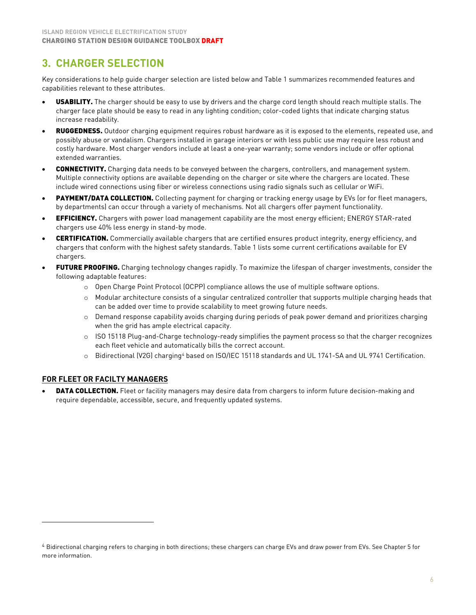# <span id="page-6-0"></span>**3. CHARGER SELECTION**

Key considerations to help guide charger selection are listed below and Table 1 summarizes recommended features and capabilities relevant to these attributes.

- USABILITY. The charger should be easy to use by drivers and the charge cord length should reach multiple stalls. The charger face plate should be easy to read in any lighting condition; color-coded lights that indicate charging status increase readability.
- RUGGEDNESS. Outdoor charging equipment requires robust hardware as it is exposed to the elements, repeated use, and possibly abuse or vandalism. Chargers installed in garage interiors or with less public use may require less robust and costly hardware. Most charger vendors include at least a one-year warranty; some vendors include or offer optional extended warranties.
- CONNECTIVITY. Charging data needs to be conveyed between the chargers, controllers, and management system. Multiple connectivity options are available depending on the charger or site where the chargers are located. These include wired connections using fiber or wireless connections using radio signals such as cellular or WiFi.
- PAYMENT/DATA COLLECTION. Collecting payment for charging or tracking energy usage by EVs (or for fleet managers, by departments) can occur through a variety of mechanisms. Not all chargers offer payment functionality.
- **EFFICIENCY.** Chargers with power load management capability are the most energy efficient; ENERGY STAR-rated chargers use 40% less energy in stand-by mode.
- CERTIFICATION. Commercially available chargers that are certified ensures product integrity, energy efficiency, and chargers that conform with the highest safety standards. Table 1 lists some current certifications available for EV chargers.
- FUTURE PROOFING. Charging technology changes rapidly. To maximize the lifespan of charger investments, consider the following adaptable features:
	- o Open Charge Point Protocol (OCPP) compliance allows the use of multiple software options.
	- $\circ$  Modular architecture consists of a singular centralized controller that supports multiple charging heads that can be added over time to provide scalability to meet growing future needs.
	- o Demand response capability avoids charging during periods of peak power demand and prioritizes charging when the grid has ample electrical capacity.
	- o ISO 15118 Plug-and-Charge technology-ready simplifies the payment process so that the charger recognizes each fleet vehicle and automatically bills the correct account.
	- o Bidirectional (V2G) charging<sup>[4](#page-6-1)</sup> based on ISO/IEC 15118 standards and UL 1741-SA and UL 9741 Certification.

#### **FOR FLEET OR FACILTY MANAGERS**

**DATA COLLECTION.** Fleet or facility managers may desire data from chargers to inform future decision-making and require dependable, accessible, secure, and frequently updated systems.

<span id="page-6-1"></span><sup>4</sup> Bidirectional charging refers to charging in both directions; these chargers can charge EVs and draw power from EVs. See Chapter 5 for more information.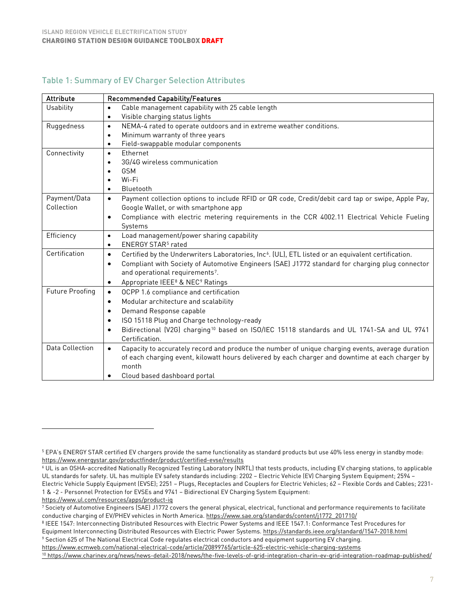## Table 1: Summary of EV Charger Selection Attributes

| <b>Attribute</b>       | <b>Recommended Capability/Features</b>                                                                                       |
|------------------------|------------------------------------------------------------------------------------------------------------------------------|
| <b>Usability</b>       | Cable management capability with 25 cable length<br>$\bullet$                                                                |
|                        | Visible charging status lights<br>$\bullet$                                                                                  |
| Ruggedness             | NEMA-4 rated to operate outdoors and in extreme weather conditions.<br>$\bullet$                                             |
|                        | Minimum warranty of three years<br>$\bullet$                                                                                 |
|                        | Field-swappable modular components<br>$\bullet$                                                                              |
| Connectivity           | Ethernet<br>$\bullet$                                                                                                        |
|                        | 3G/4G wireless communication<br>$\bullet$                                                                                    |
|                        | <b>GSM</b><br>$\bullet$                                                                                                      |
|                        | Wi-Fi<br>$\bullet$                                                                                                           |
|                        | Bluetooth<br>$\bullet$                                                                                                       |
| Payment/Data           | Payment collection options to include RFID or QR code, Credit/debit card tap or swipe, Apple Pay,<br>$\bullet$               |
| Collection             | Google Wallet, or with smartphone app                                                                                        |
|                        | Compliance with electric metering requirements in the CCR 4002.11 Electrical Vehicle Fueling<br>$\bullet$                    |
|                        | Systems                                                                                                                      |
| Efficiency             | Load management/power sharing capability<br>$\bullet$                                                                        |
|                        | ENERGY STAR <sup>5</sup> rated<br>$\bullet$                                                                                  |
| Certification          | Certified by the Underwriters Laboratories, Inc <sup>6</sup> . (UL), ETL listed or an equivalent certification.<br>$\bullet$ |
|                        | Compliant with Society of Automotive Engineers (SAE) J1772 standard for charging plug connector<br>$\bullet$                 |
|                        | and operational requirements <sup>7</sup> .                                                                                  |
|                        | Appropriate IEEE <sup>8</sup> & NEC <sup>9</sup> Ratings<br>$\bullet$                                                        |
| <b>Future Proofing</b> | OCPP 1.6 compliance and certification<br>$\bullet$                                                                           |
|                        | Modular architecture and scalability<br>$\bullet$                                                                            |
|                        | Demand Response capable<br>$\bullet$                                                                                         |
|                        | ISO 15118 Plug and Charge technology-ready<br>$\bullet$                                                                      |
|                        | Bidirectional (V2G) charging <sup>10</sup> based on ISO/IEC 15118 standards and UL 1741-SA and UL 9741<br>$\bullet$          |
|                        | Certification.                                                                                                               |
| Data Collection        | Capacity to accurately record and produce the number of unique charging events, average duration<br>$\bullet$                |
|                        | of each charging event, kilowatt hours delivered by each charger and downtime at each charger by                             |
|                        | month                                                                                                                        |
|                        | Cloud based dashboard portal                                                                                                 |

https://www.ul.com/resources/apps/product-iq

<span id="page-7-3"></span><sup>8</sup> IEEE 1547: Interconnecting Distributed Resources with Electric Power Systems and IEEE 1547.1: Conformance Test Procedures for Equipment Interconnecting Distributed Resources with Electric Power Systems. https://standards.ieee.org/standard/1547-2018.html <sup>9</sup> Section 625 of The National Electrical Code regulates electrical conductors and equipment supporting EV charging. https://www.ecmweb.com/national-electrical-code/article/20899765/article-625-electric-vehicle-charging-systems

<span id="page-7-0"></span><sup>5</sup> EPA's ENERGY STAR certified EV chargers provide the same functionality as standard products but use 40% less energy in standby mode: https://www.energystar.gov/productfinder/product/certified-evse/results

<span id="page-7-1"></span><sup>6</sup> UL is an OSHA-accredited Nationally Recognized Testing Laboratory (NRTL) that tests products, including EV charging stations, to applicable UL standards for safety. UL has multiple EV safety standards including: 2202 – Electric Vehicle (EV) Charging System Equipment; 2594 – Electric Vehicle Supply Equipment (EVSE); 2251 – Plugs, Receptacles and Couplers for Electric Vehicles; 62 – Flexible Cords and Cables; 2231- 1 & -2 - Personnel Protection for EVSEs and 9741 – Bidirectional EV Charging System Equipment:

<span id="page-7-2"></span><sup>&</sup>lt;sup>7</sup> Society of Automotive Engineers (SAE) J1772 covers the general physical, electrical, functional and performance requirements to facilitate conductive charging of EV/PHEV vehicles in North America. https://www.sae.org/standards/content/j1772\_201710/

<span id="page-7-5"></span><span id="page-7-4"></span><sup>10</sup> https://www.charinev.org/news/news-detail-2018/news/the-five-levels-of-grid-integration-charin-ev-grid-integration-roadmap-published/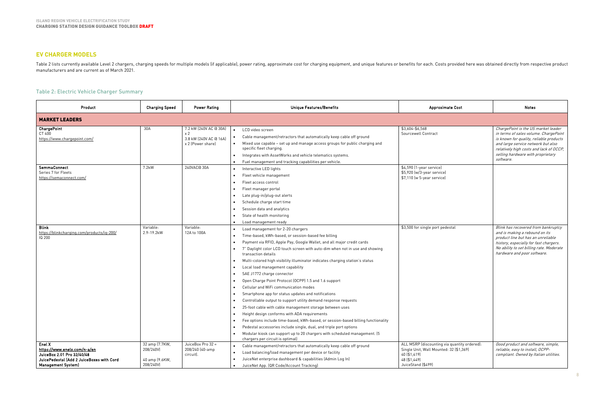# **EV CHARGER MODELS**

Table 2 lists currently available Level 2 chargers, charging speeds for multiple models (if applicable), power rating, approximate cost for charging equipment, and unique features or benefits for each. Costs provided here manufacturers and are current as of March 2021.

# Table 2: Electric Vehicle Charger Summary

| Product                                                                                                                                        | <b>Charging Speed</b>                                      | <b>Unique Features/Benefits</b><br><b>Power Rating</b>                                  |                                                                                                                                                                                                                                                                                                                                                                                                                                                                                                                                                                                                                                                                                                                                                                                                                                                                                                                                                                                                                                                  | <b>Approximate Cost</b>                                                                                                                       | <b>Notes</b>                                                                                                                                                                                                                                               |  |  |  |
|------------------------------------------------------------------------------------------------------------------------------------------------|------------------------------------------------------------|-----------------------------------------------------------------------------------------|--------------------------------------------------------------------------------------------------------------------------------------------------------------------------------------------------------------------------------------------------------------------------------------------------------------------------------------------------------------------------------------------------------------------------------------------------------------------------------------------------------------------------------------------------------------------------------------------------------------------------------------------------------------------------------------------------------------------------------------------------------------------------------------------------------------------------------------------------------------------------------------------------------------------------------------------------------------------------------------------------------------------------------------------------|-----------------------------------------------------------------------------------------------------------------------------------------------|------------------------------------------------------------------------------------------------------------------------------------------------------------------------------------------------------------------------------------------------------------|--|--|--|
| <b>MARKET LEADERS</b>                                                                                                                          |                                                            |                                                                                         |                                                                                                                                                                                                                                                                                                                                                                                                                                                                                                                                                                                                                                                                                                                                                                                                                                                                                                                                                                                                                                                  |                                                                                                                                               |                                                                                                                                                                                                                                                            |  |  |  |
| <b>ChargePoint</b><br>CT 400<br>https://www.chargepoint.com/                                                                                   | 30A                                                        | 7.2 kW (240V AC @ 30A)<br>x <sub>2</sub><br>3.8 kW (240V AC @ 16A)<br>x 2 (Power share) | LCD video screen<br>Cable management/retractors that automatically keep cable off ground<br>Mixed use capable - set up and manage access groups for public charging and<br>$\bullet$<br>specific fleet charging.<br>Integrates with AssetWorks and vehicle telematics systems.<br>Fuel management and tracking capabilities per vehicle.                                                                                                                                                                                                                                                                                                                                                                                                                                                                                                                                                                                                                                                                                                         | \$3,604-\$6,568<br>Sourcewell Contract                                                                                                        | ChargePoint is the US market leader<br>in terms of sales volume. ChargePoint<br>is known for quality, reliable products<br>and large service network but also<br>relatively high costs and lack of OCCP,<br>selling hardware with proprietary<br>software. |  |  |  |
| <b>SemmaConnect</b><br>Series 7 for Fleets<br>https://semaconnect.com/                                                                         | 7.2kW                                                      | 240VAC@30A                                                                              | Interactive LED lights<br>Fleet vehicle management<br>Fleet access control<br>Fleet manager portal<br>Late plug-in/plug-out alerts<br>Schedule charge start time<br>Session data and analytics<br>State of health monitoring<br>Load management ready                                                                                                                                                                                                                                                                                                                                                                                                                                                                                                                                                                                                                                                                                                                                                                                            | $\overline{4.590}$ (1-year service)<br>\$5,920 (w/3-year service)<br>\$7,110 (w 5-year service)                                               |                                                                                                                                                                                                                                                            |  |  |  |
| <b>Blink</b><br>https://blinkcharging.com/products/ig-200/<br>IQ 200                                                                           | Variable:<br>2.9-19.2kW                                    | Variable:<br>12A to 100A                                                                | Load management for 2-20 chargers<br>Time-based, kWh-based, or session-based fee billing<br>Payment via RFID, Apple Pay, Google Wallet, and all major credit cards<br>7" Daylight color LCD touch screen with auto-dim when not in use and showing<br>transaction details<br>Multi-colored high visibility illuminator indicates charging station's status<br>Local load management capability<br>SAE J1772 charge connector<br>Open Charge Point Protocol (OCPP) 1.5 and 1.6 support<br>Cellular and WiFi communication modes<br>Smartphone app for status updates and notifications<br>Controllable output to support utility demand response requests<br>25-foot cable with cable management storage between uses<br>Height design conforms with ADA requirements<br>Fee options include time-based, kWh-based, or session-based billing functionality<br>Pedestal accessories include single, dual, and triple port options<br>Modular kiosk can support up to 20 chargers with scheduled management. [5<br>chargers per circuit is optimal) | \$3,500 for single port pedestal                                                                                                              | Blink has recovered from bankruptcy<br>and is making a rebound on its<br>product line but has an unreliable<br>history, especially for fast chargers.<br>No ability to set billing rate. Moderate<br>hardware and poor software.                           |  |  |  |
| Enel X<br>https://www.enelx.com/n-a/en<br>JuiceBox 2.01 Pro 32/40/48<br>JuicePedestal (Add 2 JuiceBoxes with Cord<br><b>Management System)</b> | 32 amp (7.7KW,<br>208/240V)<br>40 amp (9.6KW,<br>208/240V) | JuiceBox Pro 32 =<br>208/240 (40-amp<br>circuit).                                       | Cable management/retractors that automatically keep cable off ground<br>$\bullet$<br>Load balancing/load management per device or facility<br>JuiceNet enterprise dashboard & capabilities (Admin Log In)<br>JuiceNet App. (QR Code/Account Tracking)                                                                                                                                                                                                                                                                                                                                                                                                                                                                                                                                                                                                                                                                                                                                                                                            | ALL MSRP (discounting via quantity ordered):<br>Single Unit, Wall Mounted: 32 (\$1,369)<br>40 (\$1,419)<br>48 (\$1,449)<br>JuiceStand (\$499) | Good product and software, simple,<br>reliable, easy to install, OCPP-<br>compliant. Owned by Italian utilities.                                                                                                                                           |  |  |  |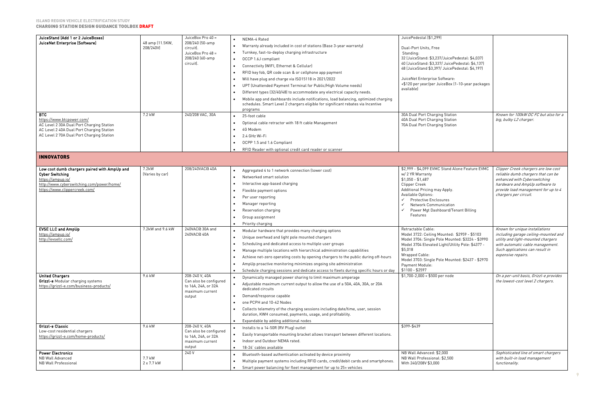| JuiceStand (Add 1 or 2 JuiceBoxes)<br>JuiceNet Enterprise (Software)   | 48 amp (11.5KW,<br>208/240V) | JuiceBox Pro 40 =<br>208/240 (50-amp<br>circuit).<br>JuiceBox Pro 48 =<br>208/240 (60-amp<br>circuit). | NEMA-4 Rated<br>Warranty already included in cost of stations (Base 3-year warranty)<br>Turnkey, fast-to-deploy charging infrastructure<br>OCCP 1.6J compliant<br>Connectivity (WIFI, Ethernet & Cellular)<br>RFID key fob, QR code scan & or cellphone app payment<br>Will have plug and charge via ISO15118 in 2021/2022<br>UPT (Unattended Payment Terminal for Public/High Volume needs)<br>Different types (32/40/48) to accommodate any electrical capacity needs.<br>Mobile app and dashboards include notifications, load balancing, optimized charging<br>schedules. Smart Level 2 chargers eligible for significant rebates via Incentive<br>programs | JuicePedestal (\$1,299)<br>Dual-Port Units, Free<br>Standing:<br>32 (JuiceStand: \$3,237/JuicePedestal: \$4,037)<br>40 (JuiceStand: \$3,337/ JuicePedestal: \$4,137)<br>48 (JuiceStand \$3,397/ JuicePedestal: \$4,197)<br>JuiceNet Enterprise Software:<br>+\$120 per year/per JuiceBox (1-10-year packages<br>available) |                                                                             |
|------------------------------------------------------------------------|------------------------------|--------------------------------------------------------------------------------------------------------|-----------------------------------------------------------------------------------------------------------------------------------------------------------------------------------------------------------------------------------------------------------------------------------------------------------------------------------------------------------------------------------------------------------------------------------------------------------------------------------------------------------------------------------------------------------------------------------------------------------------------------------------------------------------|----------------------------------------------------------------------------------------------------------------------------------------------------------------------------------------------------------------------------------------------------------------------------------------------------------------------------|-----------------------------------------------------------------------------|
| <b>BTC</b>                                                             | 7.2 kW                       | 240/208 VAC, 30A                                                                                       | 25-foot cable                                                                                                                                                                                                                                                                                                                                                                                                                                                                                                                                                                                                                                                   | 30A Dual Port Charging Station                                                                                                                                                                                                                                                                                             | Known for 100kW DC FC but also for a                                        |
| https://www.btcpower.com/<br>AC Level 2 30A Dual Port Charging Station |                              |                                                                                                        | Optional cable retractor with 18 ft cable Management                                                                                                                                                                                                                                                                                                                                                                                                                                                                                                                                                                                                            | 40A Dual Port Charging Station<br>70A Dual Port Charging Station                                                                                                                                                                                                                                                           | big, bulky L2 charger.                                                      |
| AC Level 2 40A Dual Port Charging Station                              |                              |                                                                                                        | 4G Modem                                                                                                                                                                                                                                                                                                                                                                                                                                                                                                                                                                                                                                                        |                                                                                                                                                                                                                                                                                                                            |                                                                             |
| AC Level 2 70A Dual Port Charging Station                              |                              |                                                                                                        | 2.4 GHz Wi-Fi                                                                                                                                                                                                                                                                                                                                                                                                                                                                                                                                                                                                                                                   |                                                                                                                                                                                                                                                                                                                            |                                                                             |
|                                                                        |                              |                                                                                                        | OCPP 1.5 and 1.6 Compliant                                                                                                                                                                                                                                                                                                                                                                                                                                                                                                                                                                                                                                      |                                                                                                                                                                                                                                                                                                                            |                                                                             |
|                                                                        |                              |                                                                                                        | RFID Reader with optional credit card reader or scanner                                                                                                                                                                                                                                                                                                                                                                                                                                                                                                                                                                                                         |                                                                                                                                                                                                                                                                                                                            |                                                                             |
| <b>INNOVATORS</b>                                                      |                              |                                                                                                        |                                                                                                                                                                                                                                                                                                                                                                                                                                                                                                                                                                                                                                                                 |                                                                                                                                                                                                                                                                                                                            |                                                                             |
| Low cost dumb chargers paired with AmpUp and                           | 7.2kW                        | 208/240VAC@40A                                                                                         | Aggregated 4 to 1 network connection (lower cost)                                                                                                                                                                                                                                                                                                                                                                                                                                                                                                                                                                                                               | \$2,999 - \$4,099 EVMC Stand Alone Feature EVMC                                                                                                                                                                                                                                                                            | Clipper Creek chargers are low cost                                         |
| <b>Cyber Switching</b><br>https://ampup.io/                            | (Varies by car)              |                                                                                                        | Networked smart solution                                                                                                                                                                                                                                                                                                                                                                                                                                                                                                                                                                                                                                        | w/ 2 YR Warranty<br>$$1,050 - $1,487$                                                                                                                                                                                                                                                                                      | reliable dumb chargers that can be<br>enhanced with Cyberswitching          |
| http://www.cyberswitching.com/power/home/                              |                              |                                                                                                        | Interactive app-based charging                                                                                                                                                                                                                                                                                                                                                                                                                                                                                                                                                                                                                                  | <b>Clipper Creek</b>                                                                                                                                                                                                                                                                                                       | hardware and AmpUp software to                                              |
| https://www.clippercreek.com/                                          |                              |                                                                                                        | Flexible payment options                                                                                                                                                                                                                                                                                                                                                                                                                                                                                                                                                                                                                                        | Additional Pricing may Apply.                                                                                                                                                                                                                                                                                              | provide load management for up to 4                                         |
|                                                                        |                              |                                                                                                        | Per user reporting                                                                                                                                                                                                                                                                                                                                                                                                                                                                                                                                                                                                                                              | Available Options:<br><b>Protective Enclosures</b><br>$\checkmark$                                                                                                                                                                                                                                                         | chargers per circuit.                                                       |
|                                                                        |                              |                                                                                                        | Manager reporting                                                                                                                                                                                                                                                                                                                                                                                                                                                                                                                                                                                                                                               | <b>Network Communication</b><br>$\checkmark$                                                                                                                                                                                                                                                                               |                                                                             |
|                                                                        |                              |                                                                                                        | Reservation charging                                                                                                                                                                                                                                                                                                                                                                                                                                                                                                                                                                                                                                            | Power Mgt Dashboard/Tenant Billing                                                                                                                                                                                                                                                                                         |                                                                             |
|                                                                        |                              |                                                                                                        | Group assignment                                                                                                                                                                                                                                                                                                                                                                                                                                                                                                                                                                                                                                                | Features                                                                                                                                                                                                                                                                                                                   |                                                                             |
|                                                                        |                              |                                                                                                        | Priority charging                                                                                                                                                                                                                                                                                                                                                                                                                                                                                                                                                                                                                                               |                                                                                                                                                                                                                                                                                                                            |                                                                             |
| <b>EVSE LLC and AmpUp</b><br>https://ampup.io/                         | 7.2kW and 9.6 kW             | 240VAC@ 30A and<br>240VAC@ 40A                                                                         | Modular hardware that provides many charging options                                                                                                                                                                                                                                                                                                                                                                                                                                                                                                                                                                                                            | Retractable Cable:<br>Model 3722: Ceiling Mounted: \$2959 - \$5103                                                                                                                                                                                                                                                         | Known for unique installations<br>including garage ceiling-mounted and      |
| http://evsellc.com/                                                    |                              |                                                                                                        | Unique overhead and light pole mounted chargers                                                                                                                                                                                                                                                                                                                                                                                                                                                                                                                                                                                                                 | Model 3704: Single Pole Mounted: \$3224 - \$3990                                                                                                                                                                                                                                                                           | utility and light-mounted chargers                                          |
|                                                                        |                              |                                                                                                        | Scheduling and dedicated access to multiple user groups                                                                                                                                                                                                                                                                                                                                                                                                                                                                                                                                                                                                         | Model 3704 Elevated Light/Utility Pole: \$4377 -                                                                                                                                                                                                                                                                           | with automatic cable management.                                            |
|                                                                        |                              |                                                                                                        | Manage multiple locations with hierarchical administration capabilities                                                                                                                                                                                                                                                                                                                                                                                                                                                                                                                                                                                         | \$5,018<br>Wrapped Cable:                                                                                                                                                                                                                                                                                                  | Such applications can result in<br>expensive repairs.                       |
|                                                                        |                              |                                                                                                        | Achieve net-zero operating costs by opening chargers to the public during off-hours                                                                                                                                                                                                                                                                                                                                                                                                                                                                                                                                                                             | Model 3703: Single Pole Mounted: \$2437 - \$2970                                                                                                                                                                                                                                                                           |                                                                             |
|                                                                        |                              |                                                                                                        | AmpUp proactive monitoring minimizes ongoing site administration                                                                                                                                                                                                                                                                                                                                                                                                                                                                                                                                                                                                | Payment Module:                                                                                                                                                                                                                                                                                                            |                                                                             |
| <b>United Chargers</b>                                                 | 9.6 kW                       | 208-240 V, 40A                                                                                         | Schedule charging sessions and dedicate access to fleets during specific hours or day                                                                                                                                                                                                                                                                                                                                                                                                                                                                                                                                                                           | \$1100 - \$2597<br>\$1,700-2,000 + \$500 per node                                                                                                                                                                                                                                                                          |                                                                             |
| Grizzl-e Modular charging systems                                      |                              | Can also be configured                                                                                 | Dynamically managed power sharing to limit maximum amperage                                                                                                                                                                                                                                                                                                                                                                                                                                                                                                                                                                                                     |                                                                                                                                                                                                                                                                                                                            | On a per-unit basis, Grizzl-e provides<br>the lowest-cost level 2 chargers. |
| https://grizzl-e.com/business-products/                                |                              | to 16A, 24A, or 32A                                                                                    | Adjustable maximum current output to allow the use of a 50A, 40A, 30A, or 20A<br>dedicated circuits                                                                                                                                                                                                                                                                                                                                                                                                                                                                                                                                                             |                                                                                                                                                                                                                                                                                                                            |                                                                             |
|                                                                        |                              | maximum current                                                                                        | Demand/response capable                                                                                                                                                                                                                                                                                                                                                                                                                                                                                                                                                                                                                                         |                                                                                                                                                                                                                                                                                                                            |                                                                             |
|                                                                        |                              | output                                                                                                 | one PCPH and 10-42 Nodes                                                                                                                                                                                                                                                                                                                                                                                                                                                                                                                                                                                                                                        |                                                                                                                                                                                                                                                                                                                            |                                                                             |
|                                                                        |                              |                                                                                                        | Collects telemetry of the charging sessions including date/time, user, session                                                                                                                                                                                                                                                                                                                                                                                                                                                                                                                                                                                  |                                                                                                                                                                                                                                                                                                                            |                                                                             |
|                                                                        |                              |                                                                                                        | duration, KWH consumed, payments, usage, and profitability.                                                                                                                                                                                                                                                                                                                                                                                                                                                                                                                                                                                                     |                                                                                                                                                                                                                                                                                                                            |                                                                             |
|                                                                        |                              |                                                                                                        | Expandable by adding additional nodes                                                                                                                                                                                                                                                                                                                                                                                                                                                                                                                                                                                                                           |                                                                                                                                                                                                                                                                                                                            |                                                                             |
| Grizzl-e Classic                                                       | 9.6 kW                       | 208-240 V, 40A                                                                                         | Installs to a 14-50R (RV Plug) outlet                                                                                                                                                                                                                                                                                                                                                                                                                                                                                                                                                                                                                           | $$399 - $439$                                                                                                                                                                                                                                                                                                              |                                                                             |
| Low-cost residential chargers<br>https://grizzl-e.com/home-products/   |                              | Can also be configured<br>to 16A, 24A, or 32A                                                          | Easily transportable mounting bracket allows transport between different locations.                                                                                                                                                                                                                                                                                                                                                                                                                                                                                                                                                                             |                                                                                                                                                                                                                                                                                                                            |                                                                             |
|                                                                        |                              | maximum current                                                                                        | Indoor and Outdoor NEMA rated.                                                                                                                                                                                                                                                                                                                                                                                                                                                                                                                                                                                                                                  |                                                                                                                                                                                                                                                                                                                            |                                                                             |
|                                                                        |                              | output                                                                                                 | 18-24' cables available                                                                                                                                                                                                                                                                                                                                                                                                                                                                                                                                                                                                                                         |                                                                                                                                                                                                                                                                                                                            |                                                                             |
| <b>Power Electronics</b><br><b>NB Wall Advanced</b>                    | 7.7 kW                       | 240 V                                                                                                  | Bluetooth-based authentication activated by device proximity                                                                                                                                                                                                                                                                                                                                                                                                                                                                                                                                                                                                    | NB Wall Advanced: \$2,000<br>NB Wall Professional: \$2,500                                                                                                                                                                                                                                                                 | Sophisticated line of smart chargers<br>with built-in load management       |
| <b>NB Wall Professional</b>                                            | 2 x 7.7 kW                   |                                                                                                        | Multiple payment systems including RFID cards, credit/debit cards and smartphones.                                                                                                                                                                                                                                                                                                                                                                                                                                                                                                                                                                              | With 240/208V \$3,000                                                                                                                                                                                                                                                                                                      | functionality.                                                              |
|                                                                        |                              |                                                                                                        | Smart power balancing for fleet management for up to 25+ vehicles                                                                                                                                                                                                                                                                                                                                                                                                                                                                                                                                                                                               |                                                                                                                                                                                                                                                                                                                            |                                                                             |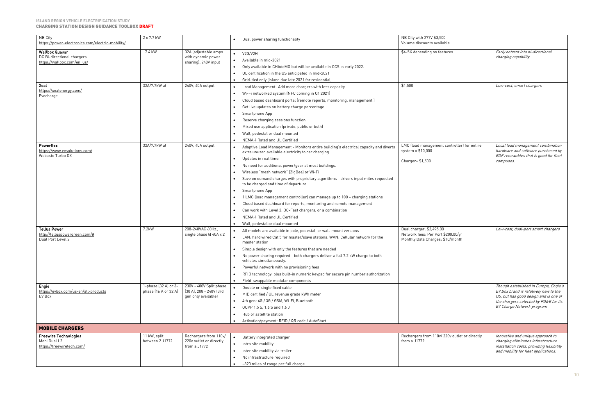#### **ISLAND REGION VEHICLE ELECTRIFICATION STUDY** CHARGING STATION DESIGN GUIDANCE TOOLBOX DRAFT

| NB City<br>https://power-electronics.com/electric-mobility/                       | 2 x 7.7 kW                                   |                                                                           | Dual power sharing functionality                                                                                                                                                                                                                                                                                                                                                                                                                                                                                                                                                                                                                                                                                             | NB City with 277V \$3,500<br>Volume discounts available                                            |                                                                                                                                                                                               |
|-----------------------------------------------------------------------------------|----------------------------------------------|---------------------------------------------------------------------------|------------------------------------------------------------------------------------------------------------------------------------------------------------------------------------------------------------------------------------------------------------------------------------------------------------------------------------------------------------------------------------------------------------------------------------------------------------------------------------------------------------------------------------------------------------------------------------------------------------------------------------------------------------------------------------------------------------------------------|----------------------------------------------------------------------------------------------------|-----------------------------------------------------------------------------------------------------------------------------------------------------------------------------------------------|
| <b>Wallbox Quasar</b><br>DC Bi-directional chargers<br>https://wallbox.com/en us/ | 7.4 kW                                       | 32A (adjustable amps<br>with dynamic power<br>sharing), 240V input        | V2G/V2H<br>$\bullet$<br>Available in mid-2021<br>Only available in CHAdeMO but will be available in CCS in early 2022.<br>UL certification in the US anticipated in mid-2021                                                                                                                                                                                                                                                                                                                                                                                                                                                                                                                                                 | \$4-5K depending on features                                                                       | Early entrant into bi-directional<br>charging capability                                                                                                                                      |
| Xeal<br>https://xealenergy.com/<br>Evocharge                                      | 32A/7.7kW at                                 | 240V, 40A output                                                          | Grid-tied only (island due late 2021 for residential)<br>Load Management- Add more chargers with less capacity<br>$\bullet$<br>Wi-Fi networked system (NFC coming in Q1 2021)<br>Cloud based dashboard portal (remote reports, monitoring, management.)<br>Get live updates on battery charge percentage<br>Smartphone App<br>Reserve charging sessions function<br>Mixed use application (private, public or both)<br>Wall, pedestal or dual mounted<br>NEMA 4 Rated and UL Certified                                                                                                                                                                                                                                       | \$1,500                                                                                            | Low-cost, smart chargers                                                                                                                                                                      |
| Powerflex<br>https://www.evsolutions.com/<br>Webasto Turbo DX                     | 32A/7.7kW at                                 | 240V, 40A output                                                          | Adaptive Load Management - Monitors entire building's electrical capacity and diverts<br>$\bullet$<br>extra unused available electricity to car charging.<br>Updates in real time.<br>No need for additional power/gear at most buildings.<br>Wireless "mesh network" (ZigBee) or Wi-Fi<br>Save on demand charges with proprietary algorithms - drivers input miles requested<br>to be charged and time of departure<br>Smartphone App<br>1 LMC (load management controller) can manage up to 100 + charging stations<br>Cloud based dashboard for reports, monitoring and remote management<br>Can work with Level 2, DC-Fast chargers, or a combination<br>NEMA 4 Rated and UL Certified<br>Wall, pedestal or dual mounted | LMC (load management controller) for entire<br>system = $$10,000$<br>Charger= \$1,500              | Local load management combination<br>hardware and software purchased by<br>EDF renewables that is good for fleet<br>campuses.                                                                 |
| <b>Tellus Power</b><br>http://telluspowergreen.com/#<br>Dual Port Level 2         | 7.2kW                                        | 208-240VAC 60Hz.,<br>single phase @ 40A x 2                               | All models are available in pole, pedestal, or wall-mount versions<br>LAN: hard wired Cat 5 for master/slave stations. WAN: Cellular network for the<br>$\bullet$<br>master station<br>Simple design with only the features that are needed<br>No power sharing required - both chargers deliver a full 7.2 kW charge to both<br>vehicles simultaneously.<br>Powerful network with no provisioning fees<br>RFID technology, plus built-in numeric keypad for secure pin number authorization<br>Field-swappable modular components                                                                                                                                                                                           | Dual charger: \$2,495.00<br>Network fees: Per Port \$200.00/yr<br>Monthly Data Charges: \$10/month | Low-cost, dual-port smart chargers                                                                                                                                                            |
| Engie<br>https://evbox.com/us-en/all-products<br>EV Box                           | 1-phase (32 A) or 3-<br>phase (16 A or 32 A) | 230V - 400V Split phase<br>(30 A), 208 - 240V (3rd<br>gen only available) | Double or single fixed cable<br>MID certified / UL revenue grade kWh meter<br>$\bullet$<br>4th gen: 4G / 3G / GSM, Wi-Fi, Bluetooth<br>$\bullet$<br>OCPP 1.5 S. 1.6 S and 1.6 J<br>Hub or satellite station<br>Activation/payment: RFID / QR code / AutoStart                                                                                                                                                                                                                                                                                                                                                                                                                                                                |                                                                                                    | Though established in Europe, Engie's<br>EV Box brand is relatively new to the<br>US, but has good design and is one of<br>the chargers selected by PG&E for its<br>EV Charge Network program |
| <b>MOBILE CHARGERS</b>                                                            |                                              |                                                                           |                                                                                                                                                                                                                                                                                                                                                                                                                                                                                                                                                                                                                                                                                                                              |                                                                                                    |                                                                                                                                                                                               |
| <b>Freewire Technologies</b><br>Mobi Dual L2<br>https://freewiretech.com/         | 11 kW, split<br>between 2 J1772              | Rechargers from 110v/<br>220v outlet or directly<br>from a J1772          | Battery integrated charger<br>$\bullet$<br>Intra site mobility<br>$\bullet$<br>Inter site mobility via trailer<br>$\bullet$<br>No infrastructure required<br>~320 miles of range per full charge                                                                                                                                                                                                                                                                                                                                                                                                                                                                                                                             | Rechargers from 110v/220v outlet or directly<br>from a J1772                                       | Innovative and unique approach to<br>charging eliminates infrastructure<br>installation costs, providing flexibility<br>and mobility for fleet applications.                                  |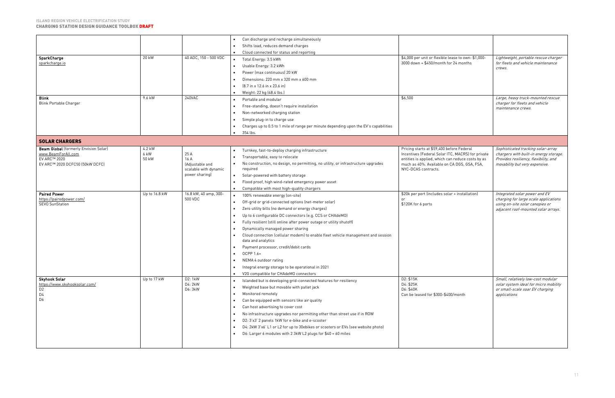|                                                          |               |                         | Can discharge and recharge simultaneously                                                              |                                                                                                  |                                                                         |
|----------------------------------------------------------|---------------|-------------------------|--------------------------------------------------------------------------------------------------------|--------------------------------------------------------------------------------------------------|-------------------------------------------------------------------------|
|                                                          |               |                         | Shifts load, reduces demand charges                                                                    |                                                                                                  |                                                                         |
|                                                          |               |                         | Cloud connected for status and reporting                                                               |                                                                                                  |                                                                         |
| SparkCharge<br>20 kW                                     |               | 40 ADC, 150 - 500 VDC   | Total Energy: 3.5 kWh<br>$\bullet$                                                                     | \$4,000 per unit or flexible lease to own: \$1,000-                                              | Lightweight, portable rescue charger                                    |
| sparkcharge.io                                           |               |                         | Usable Energy: 3.2 kWh<br>$\bullet$                                                                    | 3000 down + \$450/month for 24 months                                                            | for fleets and vehicle maintenance                                      |
|                                                          |               |                         |                                                                                                        |                                                                                                  | crews.                                                                  |
|                                                          |               |                         | Power (max continuous) 20 kW                                                                           |                                                                                                  |                                                                         |
|                                                          |               |                         | Dimensions: 220 mm x 320 mm x 600 mm                                                                   |                                                                                                  |                                                                         |
|                                                          |               |                         | $[8.7 \text{ in } x 12.6 \text{ in } x 23.6 \text{ in}]$                                               |                                                                                                  |                                                                         |
|                                                          |               |                         | Weight: 22 kg (48.4 lbs.)                                                                              |                                                                                                  |                                                                         |
| <b>Blink</b><br>9.6 kW                                   |               | 240VAC                  | Portable and modular                                                                                   | \$6,500                                                                                          | Large, heavy truck-mounted rescue                                       |
| <b>Blink Portable Charger</b>                            |               |                         | Free-standing, doesn't require installation                                                            |                                                                                                  | charger for fleets and vehicle<br>maintenance crews.                    |
|                                                          |               |                         | Non-networked charging station                                                                         |                                                                                                  |                                                                         |
|                                                          |               |                         | Simple plug-in to charge use                                                                           |                                                                                                  |                                                                         |
|                                                          |               |                         | Charges up to 0.5 to 1 mile of range per minute depending upon the EV's capabilities<br>$\bullet$      |                                                                                                  |                                                                         |
|                                                          |               |                         | 354 lbs.<br>$\bullet$                                                                                  |                                                                                                  |                                                                         |
|                                                          |               |                         |                                                                                                        |                                                                                                  |                                                                         |
| <b>SOLAR CHARGERS</b>                                    |               |                         |                                                                                                        |                                                                                                  |                                                                         |
| <b>Beam Global</b> (formerly Envision Solar)<br>4.2 kW   |               |                         | Turnkey, fast-to-deploy charging infrastructure<br>$\bullet$                                           | Pricing starts at \$59,400 before Federal                                                        | Sophisticated tracking solar-array                                      |
| 6 kW<br>www.BeamForAll.com                               |               | 25 A                    | Transportable, easy to relocate                                                                        | Incentives (Federal Solar ITC, MACRS) for private                                                | chargers with built-in energy storage.                                  |
| EV ARC™ 2020<br>50 kW<br>EV ARC™ 2020 DCFC50 (50kW DCFC) |               | 16 A<br>(Adjustable and | No construction, no design, no permitting, no utility, or infrastructure upgrades<br>$\bullet$         | entities is applied, which can reduce costs by as<br>much as 40%. Available on CA DGS, GSA, FSA, | Provides resiliency, flexibility, and<br>movability but very expensive. |
|                                                          |               | scalable with dynamic   | required                                                                                               | NYC-DCAS contracts.                                                                              |                                                                         |
|                                                          |               | power sharing)          | Solar-powered with battery storage<br>$\bullet$                                                        |                                                                                                  |                                                                         |
|                                                          |               |                         | Flood proof, high wind-rated emergency power asset                                                     |                                                                                                  |                                                                         |
|                                                          |               |                         | Compatible with most high-quality chargers                                                             |                                                                                                  |                                                                         |
| <b>Paired Power</b>                                      | Up to 16.8 kW | 16.8 kW, 40 amp, 300-   | 100% renewable energy (on-site)<br>$\bullet$                                                           | \$20k per port (includes solar + installation)                                                   | Integrated solar power and EV                                           |
| https://pairedpower.com/                                 |               | 500 VDC                 | Off-grid or grid-connected options (net-meter solar)                                                   |                                                                                                  | charging for large scale applications                                   |
| <b>SEVO SunStation</b>                                   |               |                         |                                                                                                        | \$120K for 6 ports                                                                               | using on-site solar canopies or                                         |
|                                                          |               |                         | Zero utility bills (no demand or energy charges)                                                       |                                                                                                  | adjacent roof-mounted solar arrays.                                     |
|                                                          |               |                         | Up to 6 configurable DC connectors (e.g. CCS or CHAdeMO)                                               |                                                                                                  |                                                                         |
|                                                          |               |                         | Fully resilient (still online after power outage or utility shutoff)                                   |                                                                                                  |                                                                         |
|                                                          |               |                         | Dynamically managed power sharing                                                                      |                                                                                                  |                                                                         |
|                                                          |               |                         | Cloud connection (cellular modem) to enable fleet vehicle management and session<br>data and analytics |                                                                                                  |                                                                         |
|                                                          |               |                         | Payment processor, credit/debit cards                                                                  |                                                                                                  |                                                                         |
|                                                          |               |                         | OCPP 1.6+                                                                                              |                                                                                                  |                                                                         |
|                                                          |               |                         | NEMA 4 outdoor rating                                                                                  |                                                                                                  |                                                                         |
|                                                          |               |                         | Integral energy storage to be operational in 2021                                                      |                                                                                                  |                                                                         |
|                                                          |               |                         |                                                                                                        |                                                                                                  |                                                                         |
| Skyhook Solar                                            | Up to 17 kW   | D2: 1kW                 | V2G compatible for CHAdeMO connectors                                                                  | D2: \$15K                                                                                        | Small, relatively low-cost modular                                      |
| https://www.skyhooksolar.com/                            |               | D4: 2kW                 | Islanded but is developing grid-connected features for resiliency<br>$\bullet$                         | D4: \$25K                                                                                        | solar system ideal for micro mobility                                   |
| D <sub>2</sub>                                           |               |                         |                                                                                                        |                                                                                                  |                                                                         |
|                                                          |               | D6: 3kW                 | Weighted base but movable with pallet jack                                                             | D6: \$40K                                                                                        | or small-scale soar EV charging                                         |
| D4                                                       |               |                         | Monitored remotely                                                                                     | Can be leased for \$300-\$400/month                                                              | applications                                                            |
| D <sub>6</sub>                                           |               |                         | Can be equipped with sensors like air quality                                                          |                                                                                                  |                                                                         |
|                                                          |               |                         | Can host advertising to cover cost<br>$\bullet$                                                        |                                                                                                  |                                                                         |
|                                                          |               |                         | No infrastructure upgrades nor permitting other than street use if in ROW                              |                                                                                                  |                                                                         |
|                                                          |               |                         | D2: 3'x3' 2 panels 1kW for e-bike and e-scooter<br>$\bullet$                                           |                                                                                                  |                                                                         |
|                                                          |               |                         |                                                                                                        |                                                                                                  |                                                                         |
|                                                          |               |                         | D4: 2kW 3'x6' L1 or L2 for up to 30ebikes or scooters or EVs (see website photo)<br>$\bullet$          |                                                                                                  |                                                                         |
|                                                          |               |                         | D6: Larger 6 modules with 2 3kW L2 plugs for \$40 = 60 miles                                           |                                                                                                  |                                                                         |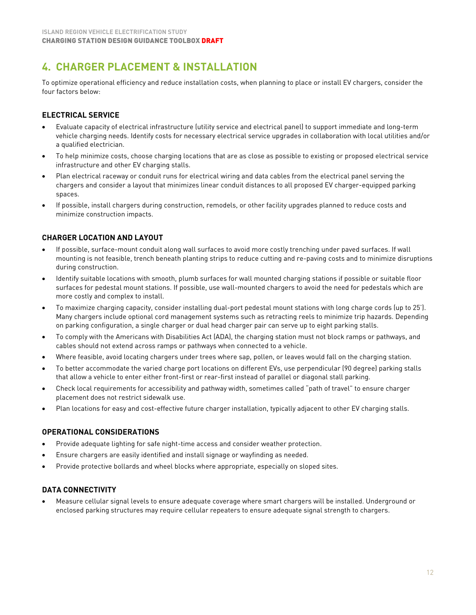# <span id="page-12-0"></span>**4. CHARGER PLACEMENT & INSTALLATION**

To optimize operational efficiency and reduce installation costs, when planning to place or install EV chargers, consider the four factors below:

## **ELECTRICAL SERVICE**

- Evaluate capacity of electrical infrastructure (utility service and electrical panel) to support immediate and long-term vehicle charging needs. Identify costs for necessary electrical service upgrades in collaboration with local utilities and/or a qualified electrician.
- To help minimize costs, choose charging locations that are as close as possible to existing or proposed electrical service infrastructure and other EV charging stalls.
- Plan electrical raceway or conduit runs for electrical wiring and data cables from the electrical panel serving the chargers and consider a layout that minimizes linear conduit distances to all proposed EV charger-equipped parking spaces.
- If possible, install chargers during construction, remodels, or other facility upgrades planned to reduce costs and minimize construction impacts.

## **CHARGER LOCATION AND LAYOUT**

- If possible, surface-mount conduit along wall surfaces to avoid more costly trenching under paved surfaces. If wall mounting is not feasible, trench beneath planting strips to reduce cutting and re-paving costs and to minimize disruptions during construction.
- Identify suitable locations with smooth, plumb surfaces for wall mounted charging stations if possible or suitable floor surfaces for pedestal mount stations. If possible, use wall-mounted chargers to avoid the need for pedestals which are more costly and complex to install.
- To maximize charging capacity, consider installing dual-port pedestal mount stations with long charge cords (up to 25'). Many chargers include optional cord management systems such as retracting reels to minimize trip hazards. Depending on parking configuration, a single charger or dual head charger pair can serve up to eight parking stalls.
- To comply with the Americans with Disabilities Act (ADA), the charging station must not block ramps or pathways, and cables should not extend across ramps or pathways when connected to a vehicle.
- Where feasible, avoid locating chargers under trees where sap, pollen, or leaves would fall on the charging station.
- To better accommodate the varied charge port locations on different EVs, use perpendicular (90 degree) parking stalls that allow a vehicle to enter either front-first or rear-first instead of parallel or diagonal stall parking.
- Check local requirements for accessibility and pathway width, sometimes called "path of travel" to ensure charger placement does not restrict sidewalk use.
- Plan locations for easy and cost-effective future charger installation, typically adjacent to other EV charging stalls.

#### **OPERATIONAL CONSIDERATIONS**

- Provide adequate lighting for safe night-time access and consider weather protection.
- Ensure chargers are easily identified and install signage or wayfinding as needed.
- Provide protective bollards and wheel blocks where appropriate, especially on sloped sites.

#### **DATA CONNECTIVITY**

• Measure cellular signal levels to ensure adequate coverage where smart chargers will be installed. Underground or enclosed parking structures may require cellular repeaters to ensure adequate signal strength to chargers.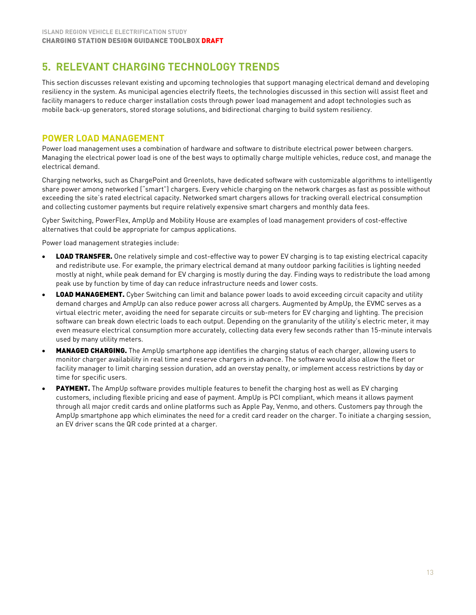# <span id="page-13-0"></span>**5. RELEVANT CHARGING TECHNOLOGY TRENDS**

This section discusses relevant existing and upcoming technologies that support managing electrical demand and developing resiliency in the system. As municipal agencies electrify fleets, the technologies discussed in this section will assist fleet and facility managers to reduce charger installation costs through power load management and adopt technologies such as mobile back-up generators, stored storage solutions, and bidirectional charging to build system resiliency.

# **POWER LOAD MANAGEMENT**

Power load management uses a combination of hardware and software to distribute electrical power between chargers. Managing the electrical power load is one of the best ways to optimally charge multiple vehicles, reduce cost, and manage the electrical demand.

Charging networks, such as ChargePoint and Greenlots, have dedicated software with customizable algorithms to intelligently share power among networked ("smart") chargers. Every vehicle charging on the network charges as fast as possible without exceeding the site's rated electrical capacity. Networked smart chargers allows for tracking overall electrical consumption and collecting customer payments but require relatively expensive smart chargers and monthly data fees.

Cyber Switching, PowerFlex, AmpUp and Mobility House are examples of load management providers of cost-effective alternatives that could be appropriate for campus applications.

Power load management strategies include:

- **LOAD TRANSFER.** One relatively simple and cost-effective way to power EV charging is to tap existing electrical capacity and redistribute use. For example, the primary electrical demand at many outdoor parking facilities is lighting needed mostly at night, while peak demand for EV charging is mostly during the day. Finding ways to redistribute the load among peak use by function by time of day can reduce infrastructure needs and lower costs.
- LOAD MANAGEMENT. Cyber Switching can limit and balance power loads to avoid exceeding circuit capacity and utility demand charges and AmpUp can also reduce power across all chargers. Augmented by AmpUp, the EVMC serves as a virtual electric meter, avoiding the need for separate circuits or sub-meters for EV charging and lighting. The precision software can break down electric loads to each output. Depending on the granularity of the utility's electric meter, it may even measure electrical consumption more accurately, collecting data every few seconds rather than 15-minute intervals used by many utility meters.
- MANAGED CHARGING. The AmpUp smartphone app identifies the charging status of each charger, allowing users to monitor charger availability in real time and reserve chargers in advance. The software would also allow the fleet or facility manager to limit charging session duration, add an overstay penalty, or implement access restrictions by day or time for specific users.
- PAYMENT. The AmpUp software provides multiple features to benefit the charging host as well as EV charging customers, including flexible pricing and ease of payment. AmpUp is PCI compliant, which means it allows payment through all major credit cards and online platforms such as Apple Pay, Venmo, and others. Customers pay through the AmpUp smartphone app which eliminates the need for a credit card reader on the charger. To initiate a charging session, an EV driver scans the QR code printed at a charger.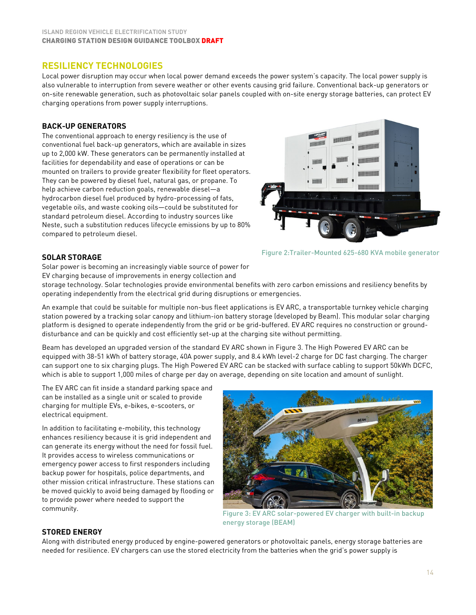# **RESILIENCY TECHNOLOGIES**

Local power disruption may occur when local power demand exceeds the power system's capacity. The local power supply is also vulnerable to interruption from severe weather or other events causing grid failure. Conventional back-up generators or on-site renewable generation, such as photovoltaic solar panels coupled with on-site energy storage batteries, can protect EV charging operations from power supply interruptions.

#### **BACK-UP GENERATORS**

The conventional approach to energy resiliency is the use of conventional fuel back-up generators, which are available in sizes up to 2,000 kW. These generators can be permanently installed at facilities for dependability and ease of operations or can be mounted on trailers to provide greater flexibility for fleet operators. They can be powered by diesel fuel, natural gas, or propane. To help achieve carbon reduction goals, renewable diesel—a hydrocarbon diesel fuel produced by hydro-processing of fats, vegetable oils, and waste cooking oils—could be substituted for standard petroleum diesel. According to industry sources like Neste, such a substitution reduces lifecycle emissions by up to 80% compared to petroleum diesel.



#### **SOLAR STORAGE**

Solar power is becoming an increasingly viable source of power for EV charging because of improvements in energy collection and

storage technology. Solar technologies provide environmental benefits with zero carbon emissions and resiliency benefits by operating independently from the electrical grid during disruptions or emergencies.

An example that could be suitable for multiple non-bus fleet applications is EV ARC, a transportable turnkey vehicle charging station powered by a tracking solar canopy and lithium-ion battery storage (developed by Beam). This modular solar charging platform is designed to operate independently from the grid or be grid-buffered. EV ARC requires no construction or grounddisturbance and can be quickly and cost efficiently set-up at the charging site without permitting.

Beam has developed an upgraded version of the standard EV ARC shown in Figure 3. The High Powered EV ARC can be equipped with 38-51 kWh of battery storage, 40A power supply, and 8.4 kWh level-2 charge for DC fast charging. The charger can support one to six charging plugs. The High Powered EV ARC can be stacked with surface cabling to support 50kWh DCFC, which is able to support 1,000 miles of charge per day on average, depending on site location and amount of sunlight.

The EV ARC can fit inside a standard parking space and can be installed as a single unit or scaled to provide charging for multiple EVs, e-bikes, e-scooters, or electrical equipment.

In addition to facilitating e-mobility, this technology enhances resiliency because it is grid independent and can generate its energy without the need for fossil fuel. It provides access to wireless communications or emergency power access to first responders including backup power for hospitals, police departments, and other mission critical infrastructure. These stations can be moved quickly to avoid being damaged by flooding or to provide power where needed to support the community.



Figure 3: EV ARC solar-powered EV charger with built-in backup energy storage (BEAM)

#### **STORED ENERGY**

Along with distributed energy produced by engine-powered generators or photovoltaic panels, energy storage batteries are needed for resilience. EV chargers can use the stored electricity from the batteries when the grid's power supply is

Figure 2:Trailer-Mounted 625-680 KVA mobile generator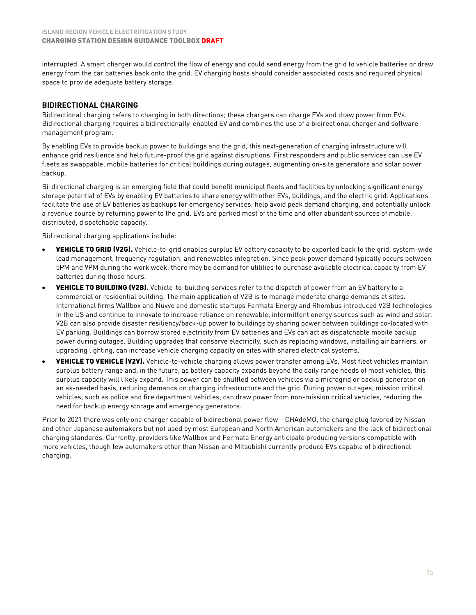interrupted. A smart charger would control the flow of energy and could send energy from the grid to vehicle batteries or draw energy from the car batteries back onto the grid. EV charging hosts should consider associated costs and required physical space to provide adequate battery storage.

#### **BIDIRECTIONAL CHARGING**

Bidirectional charging refers to charging in both directions; these chargers can charge EVs and draw power from EVs. Bidirectional charging requires a bidirectionally-enabled EV and combines the use of a bidirectional charger and software management program.

By enabling EVs to provide backup power to buildings and the grid, this next-generation of charging infrastructure will enhance grid resilience and help future-proof the grid against disruptions. First responders and public services can use EV fleets as swappable, mobile batteries for critical buildings during outages, augmenting on-site generators and solar power backup.

Bi-directional charging is an emerging field that could benefit municipal fleets and facilities by unlocking significant energy storage potential of EVs by enabling EV batteries to share energy with other EVs, buildings, and the electric grid. Applications facilitate the use of EV batteries as backups for emergency services, help avoid peak demand charging, and potentially unlock a revenue source by returning power to the grid. EVs are parked most of the time and offer abundant sources of mobile, distributed, dispatchable capacity.

Bidirectional charging applications include:

- VEHICLE TO GRID (V2G). Vehicle-to-grid enables surplus EV battery capacity to be exported back to the grid, system-wide load management, frequency regulation, and renewables integration. Since peak power demand typically occurs between 5PM and 9PM during the work week, there may be demand for utilities to purchase available electrical capacity from EV batteries during those hours.
- VEHICLE TO BUILDING (V2B). Vehicle-to-building services refer to the dispatch of power from an EV battery to a commercial or residential building. The main application of V2B is to manage moderate charge demands at sites. International firms Wallbox and Nuvve and domestic startups Fermata Energy and Rhombus introduced V2B technologies in the US and continue to innovate to increase reliance on renewable, intermittent energy sources such as wind and solar. V2B can also provide disaster resiliency/back-up power to buildings by sharing power between buildings co-located with EV parking. Buildings can borrow stored electricity from EV batteries and EVs can act as dispatchable mobile backup power during outages. Building upgrades that conserve electricity, such as replacing windows, installing air barriers, or upgrading lighting, can increase vehicle charging capacity on sites with shared electrical systems.
- VEHICLE TO VEHICLE (V2V). Vehicle-to-vehicle charging allows power transfer among EVs. Most fleet vehicles maintain surplus battery range and, in the future, as battery capacity expands beyond the daily range needs of most vehicles, this surplus capacity will likely expand. This power can be shuffled between vehicles via a microgrid or backup generator on an as-needed basis, reducing demands on charging infrastructure and the grid. During power outages, mission critical vehicles, such as police and fire department vehicles, can draw power from non-mission critical vehicles, reducing the need for backup energy storage and emergency generators.

Prior to 2021 there was only one charger capable of bidirectional power flow – CHAdeMO, the charge plug favored by Nissan and other Japanese automakers but not used by most European and North American automakers and the lack of bidirectional charging standards. Currently, providers like Wallbox and Fermata Energy anticipate producing versions compatible with more vehicles, though few automakers other than Nissan and Mitsubishi currently produce EVs capable of bidirectional charging.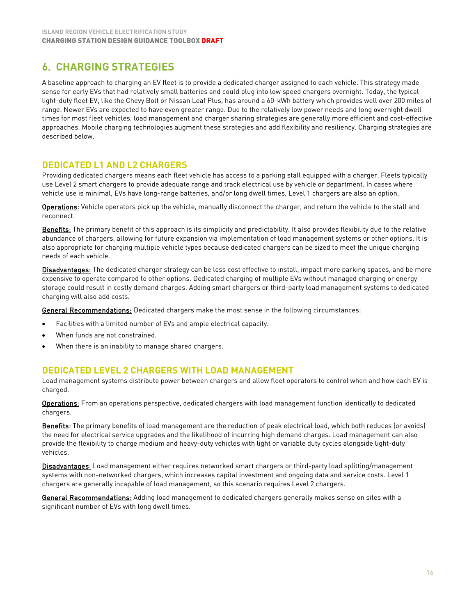# <span id="page-16-0"></span>**6. CHARGING STRATEGIES**

A baseline approach to charging an EV fleet is to provide a dedicated charger assigned to each vehicle. This strategy made sense for early EVs that had relatively small batteries and could plug into low speed chargers overnight. Today, the typical light-duty fleet EV, like the Chevy Bolt or Nissan Leaf Plus, has around a 60-kWh battery which provides well over 200 miles of range. Newer EVs are expected to have even greater range. Due to the relatively low power needs and long overnight dwell times for most fleet vehicles, load management and charger sharing strategies are generally more efficient and cost-effective approaches. Mobile charging technologies augment these strategies and add flexibility and resiliency. Charging strategies are described below.

# **DEDICATED L1 AND L2 CHARGERS**

Providing dedicated chargers means each fleet vehicle has access to a parking stall equipped with a charger. Fleets typically use Level 2 smart chargers to provide adequate range and track electrical use by vehicle or department. In cases where vehicle use is minimal, EVs have long-range batteries, and/or long dwell times, Level 1 chargers are also an option.

Operations: Vehicle operators pick up the vehicle, manually disconnect the charger, and return the vehicle to the stall and reconnect.

Benefits: The primary benefit of this approach is its simplicity and predictability. It also provides flexibility due to the relative abundance of chargers, allowing for future expansion via implementation of load management systems or other options. It is also appropriate for charging multiple vehicle types because dedicated chargers can be sized to meet the unique charging needs of each vehicle.

Disadvantages: The dedicated charger strategy can be less cost effective to install, impact more parking spaces, and be more expensive to operate compared to other options. Dedicated charging of multiple EVs without managed charging or energy storage could result in costly demand charges. Adding smart chargers or third-party load management systems to dedicated charging will also add costs.

General Recommendations: Dedicated chargers make the most sense in the following circumstances:

- Facilities with a limited number of EVs and ample electrical capacity.
- When funds are not constrained.
- When there is an inability to manage shared chargers.

# **DEDICATED LEVEL 2 CHARGERS WITH LOAD MANAGEMENT**

Load management systems distribute power between chargers and allow fleet operators to control when and how each EV is charged.

Operations: From an operations perspective, dedicated chargers with load management function identically to dedicated chargers.

Benefits: The primary benefits of load management are the reduction of peak electrical load, which both reduces (or avoids) the need for electrical service upgrades and the likelihood of incurring high demand charges. Load management can also provide the flexibility to charge medium and heavy-duty vehicles with light or variable duty cycles alongside light-duty vehicles.

Disadvantages: Load management either requires networked smart chargers or third-party load splitting/management systems with non-networked chargers, which increases capital investment and ongoing data and service costs. Level 1 chargers are generally incapable of load management, so this scenario requires Level 2 chargers.

General Recommendations: Adding load management to dedicated chargers generally makes sense on sites with a significant number of EVs with long dwell times.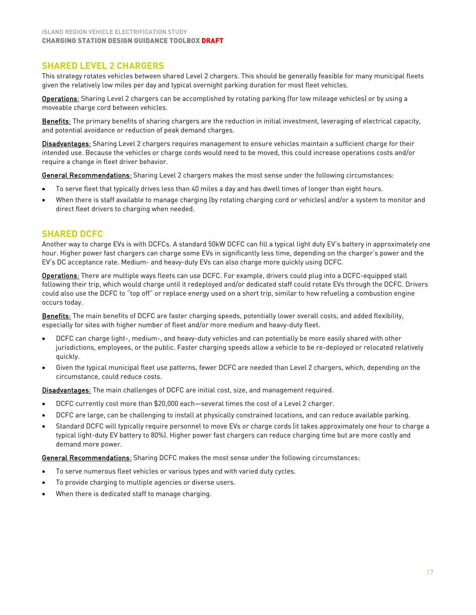# **SHARED LEVEL 2 CHARGERS**

This strategy rotates vehicles between shared Level 2 chargers. This should be generally feasible for many municipal fleets given the relatively low miles per day and typical overnight parking duration for most fleet vehicles.

Operations: Sharing Level 2 chargers can be accomplished by rotating parking (for low mileage vehicles) or by using a moveable charge cord between vehicles.

Benefits: The primary benefits of sharing chargers are the reduction in initial investment, leveraging of electrical capacity, and potential avoidance or reduction of peak demand charges.

Disadvantages: Sharing Level 2 chargers requires management to ensure vehicles maintain a sufficient charge for their intended use. Because the vehicles or charge cords would need to be moved, this could increase operations costs and/or require a change in fleet driver behavior.

General Recommendations: Sharing Level 2 chargers makes the most sense under the following circumstances:

- To serve fleet that typically drives less than 40 miles a day and has dwell times of longer than eight hours.
- When there is staff available to manage charging (by rotating charging cord or vehicles) and/or a system to monitor and direct fleet drivers to charging when needed.

# **SHARED DCFC**

Another way to charge EVs is with DCFCs. A standard 50kW DCFC can fill a typical light duty EV's battery in approximately one hour. Higher power fast chargers can charge some EVs in significantly less time, depending on the charger's power and the EV's DC acceptance rate. Medium- and heavy-duty EVs can also charge more quickly using DCFC.

Operations: There are multiple ways fleets can use DCFC. For example, drivers could plug into a DCFC-equipped stall following their trip, which would charge until it redeployed and/or dedicated staff could rotate EVs through the DCFC. Drivers could also use the DCFC to "top off" or replace energy used on a short trip, similar to how refueling a combustion engine occurs today.

Benefits: The main benefits of DCFC are faster charging speeds, potentially lower overall costs, and added flexibility, especially for sites with higher number of fleet and/or more medium and heavy-duty fleet.

- DCFC can charge light-, medium-, and heavy-duty vehicles and can potentially be more easily shared with other jurisdictions, employees, or the public. Faster charging speeds allow a vehicle to be re-deployed or relocated relatively quickly.
- Given the typical municipal fleet use patterns, fewer DCFC are needed than Level 2 chargers, which, depending on the circumstance, could reduce costs.

Disadvantages: The main challenges of DCFC are initial cost, size, and management required.

- DCFC currently cost more than \$20,000 each—several times the cost of a Level 2 charger.
- DCFC are large, can be challenging to install at physically constrained locations, and can reduce available parking.
- Standard DCFC will typically require personnel to move EVs or charge cords (it takes approximately one hour to charge a typical light-duty EV battery to 80%). Higher power fast chargers can reduce charging time but are more costly and demand more power.

General Recommendations: Sharing DCFC makes the most sense under the following circumstances:

- To serve numerous fleet vehicles or various types and with varied duty cycles.
- To provide charging to multiple agencies or diverse users.
- When there is dedicated staff to manage charging.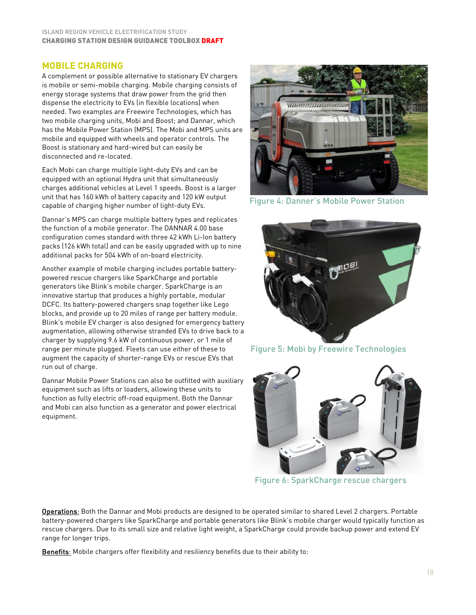#### **ISLAND REGION VEHICLE ELECTRIFICATION STUDY** CHARGING STATION DESIGN GUIDANCE TOOLBOX DRAFT

# **MOBILE CHARGING**

A complement or possible alternative to stationary EV chargers is mobile or semi-mobile charging. Mobile charging consists of energy storage systems that draw power from the grid then dispense the electricity to EVs (in flexible locations) when needed. Two examples are Freewire Technologies, which has two mobile charging units, Mobi and Boost; and Dannar, which has the Mobile Power Station (MPS). The Mobi and MPS units are mobile and equipped with wheels and operator controls. The Boost is stationary and hard-wired but can easily be disconnected and re-located.

Each Mobi can charge multiple light-duty EVs and can be equipped with an optional Hydra unit that simultaneously charges additional vehicles at Level 1 speeds. Boost is a larger unit that has 160 kWh of battery capacity and 120 kW output capable of charging higher number of light-duty EVs.

Dannar's MPS can charge multiple battery types and replicates the function of a mobile generator. The DANNAR 4.00 base configuration comes standard with three 42 kWh Li-Ion battery packs (126 kWh total) and can be easily upgraded with up to nine additional packs for 504 kWh of on-board electricity.

Another example of mobile charging includes portable batterypowered rescue chargers like SparkCharge and portable generators like Blink's mobile charger. SparkCharge is an innovative startup that produces a highly portable, modular DCFC. Its battery-powered chargers snap together like Lego blocks, and provide up to 20 miles of range per battery module. Blink's mobile EV charger is also designed for emergency battery augmentation, allowing otherwise stranded EVs to drive back to a charger by supplying 9.6 kW of continuous power, or 1 mile of range per minute plugged. Fleets can use either of these to augment the capacity of shorter-range EVs or rescue EVs that run out of charge.

Dannar Mobile Power Stations can also be outfitted with auxiliary equipment such as lifts or loaders, allowing these units to function as fully electric off-road equipment. Both the Dannar and Mobi can also function as a generator and power electrical equipment.



Figure 4: Danner's Mobile Power Station



Figure 5: Mobi by Freewire Technologies



Figure 6: SparkCharge rescue chargers

Operations: Both the Dannar and Mobi products are designed to be operated similar to shared Level 2 chargers. Portable battery-powered chargers like SparkCharge and portable generators like Blink's mobile charger would typically function as rescue chargers. Due to its small size and relative light weight, a SparkCharge could provide backup power and extend EV range for longer trips.

Benefits: Mobile chargers offer flexibility and resiliency benefits due to their ability to: